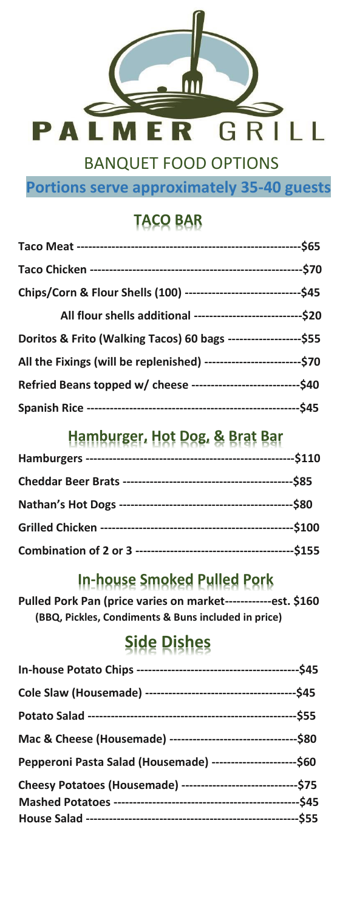

BANQUET FOOD OPTIONS

**Portions serve approximately 35-40 guests**

## **TACO BAR**

| All flour shells additional -------------------------------\$20         |  |
|-------------------------------------------------------------------------|--|
| Doritos & Frito (Walking Tacos) 60 bags ---------------------\$55       |  |
| All the Fixings (will be replenished) ---------------------------- \$70 |  |
| Refried Beans topped w/ cheese ------------------------------\$40       |  |
|                                                                         |  |

### **Hamburger, Hot Dog, & Brat Bar**

### **In-house Smoked Pulled Pork**

**Pulled Pork Pan (price varies on market------------est. \$160 (BBQ, Pickles, Condiments & Buns included in price)** 

# **Side Dishes**

| Mac & Cheese (Housemade) -----------------------------------\$80  |  |
|-------------------------------------------------------------------|--|
| Pepperoni Pasta Salad (Housemade) ------------------------\$60    |  |
| Cheesy Potatoes (Housemade) ---------------------------------\$75 |  |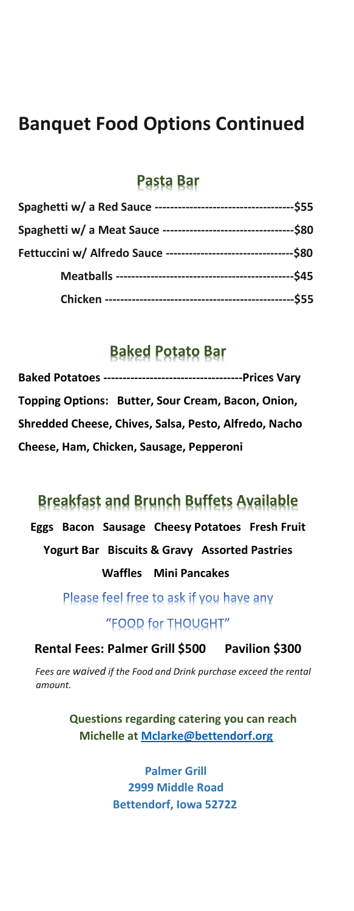## **Banquet Food Options Continued**

#### **Pasta Bar**

### **Baked Potato Bar**

| Topping Options: Butter, Sour Cream, Bacon, Onion,    |
|-------------------------------------------------------|
| Shredded Cheese, Chives, Salsa, Pesto, Alfredo, Nacho |
| Cheese, Ham, Chicken, Sausage, Pepperoni              |

### **Breakfast and Brunch Buffets Available**

**Eggs Bacon Sausage Cheesy Potatoes Fresh Fruit Yogurt Bar Biscuits & Gravy Assorted Pastries Waffles Mini Pancakes** 

> Please feel free to ask if you have any "FOOD for THOUGHT"

**Rental Fees: Palmer Grill \$500 Pavilion \$300** 

*Fees are waived if the Food and Drink purchase exceed the rental amount.* 

> **Questions regarding catering you can reach Michelle at Mclarke@bettendorf.org**

> > **Palmer Grill 2999 Middle Road Bettendorf, Iowa 52722**